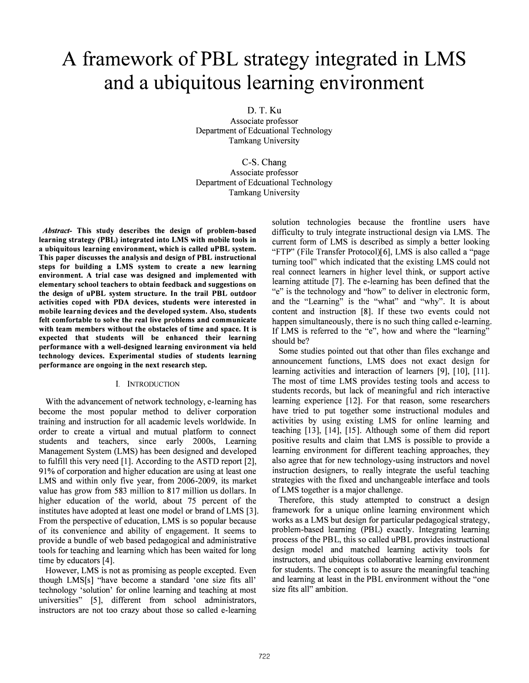# A framework of PBL strategy integrated in LMS and a ubiquitous learning environment

D.T.Ku

Associate professor Department of Edcuational Technology Tamkang University

C-S. Chang Associate professor Department of Edcuational Technology Tamkang University

Abstract- This study describes the design of problem-based learning strategy (PBL) integrated into LMS with mobile tools in a ubiquitous learning environment, which is called uPBL system. This paper discusses the analysis and design of PBL instructional steps for building a LMS system to create a new learning environment. A trial case was designed and implemented with elementary school teachers to obtain feedback and suggestions on the design of uPBL system structure. In the trail PBL outdoor activities coped with PDA devices, students were interested in mobile learning devices and the developed system. Also, students felt comfortable to solve the real live problems and communicate with team members without the obstacles of time and space. It is expected that students will be enhanced their learning performance with a well-designed learning environment via held technology devices. Experimental studies of students learning performance are ongoing in the next research step.

## I. INTRODUCTION

With the advancement of network technology, e-learning has become the most popular method to deliver corporation training and instruction for all academic levels worldwide. In order to create a virtual and mutual platform to connect students and teachers, since early 2000s, Learning Management System (LMS) has been designed and developed to fulfill this very need [1]. According to the ASTD report [2], 91 % of corporation and higher education are using at least one LMS and within only five year, from 2006-2009, its market value has grow from 583 million to 817 million us dollars. In higher education of the world, about 75 percent of the institutes have adopted at least one model or brand of LMS [3]. From the perspective of education, LMS is so popular because of its convenience and ability of engagement. It seems to provide a bundle of web based pedagogical and administrative tools for teaching and learning which has been waited for long time by educators [4].

However, LMS is not as promising as people excepted. Even though LMS[s] "have become a standard 'one size fits all' technology 'solution' for online learning and teaching at most universities" [5], different from school administrators, instructors are not too crazy about those so called e-learning solution technologies because the frontline users have difficulty to truly integrate instructional design via LMS. The current form of LMS is described as simply a better looking "FTP" (File Transfer Protocol)[6], LMS is also called a "page turning tool" which indicated that the existing LMS could not real connect learners in higher level think, or support active learning attitude [7]. The e-learning has been defined that the "e" is the technology and "how" to deliver in electronic form, and the "Learning" is the "what" and "why". It is about content and instruction [8]. If these two events could not happen simultaneously, there is no such thing called e-learning. If LMS is referred to the "e", how and where the "learning" should be?

Some studies pointed out that other than files exchange and announcement functions, LMS does not exact design for learning activities and interaction of learners [9], [10], [11]. The most of time LMS provides testing tools and access to students records, but lack of meaningful and rich interactive learning experience [12]. For that reason, some researchers have tried to put together some instructional modules and activities by using existing LMS for online learning and teaching [13], [14], [15]. Although some of them did report positive results and claim that LMS is possible to provide a learning environment for different teaching approaches, they also agree that for new technology-using instructors and novel instruction designers, to really integrate the useful teaching strategies with the fixed and unchangeable interface and tools of LMS together is a major challenge.

Therefore, this study attempted to construct a design framework for a unique online learning environment which works as a LMS but design for particular pedagogical strategy, problem-based learning (PBL) exactly. Integrating learning process of the PBL, this so called uPBL provides instructional design model and matched learning activity tools for instructors, and ubiquitous collaborative learning environment for students. The concept is to assure the meaningful teaching and learning at least in the PBL environment without the "one size fits all" ambition.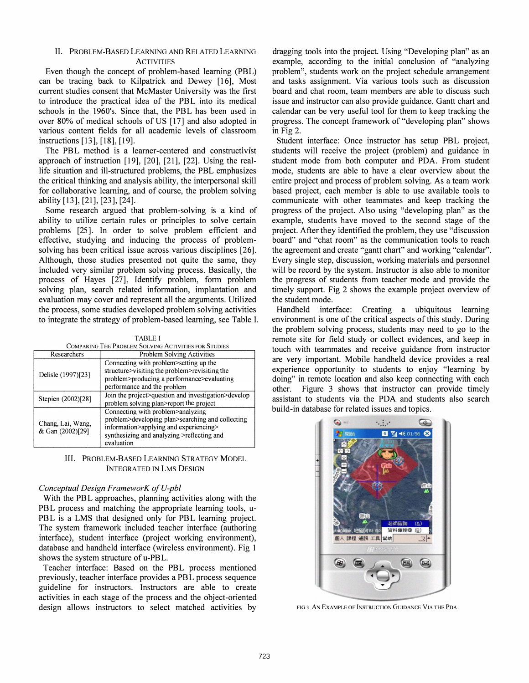#### II. PROBLEM-BASED LEARNING AND RELATED LEARNING **ACTIVITIES**

Even though the concept of problem-based learning (PBL) can be tracing back to Kilpatrick and Dewey [16], Most current studies consent that McMaster University was the first to introduce the practical idea of the PBL into its medical schools in the 1960's. Since that, the PBL has been used in over 80% of medical schools of US [17] and also adopted in various content fields for all academic levels of classroom instructions [13], [18], [19].

The PBL method is a learner-centered and constructivist approach of instruction  $[19]$ ,  $[20]$ ,  $[21]$ ,  $[22]$ . Using the reallife situation and ill-structured problems, the PBL emphasizes the critical thinking and analysis ability, the interpersonal skill for collaborative learning, and of course, the problem solving ability [13], [21], [23], [24].

Some research argued that problem-solving is a kind of ability to utilize certain rules or principles to solve certain problems [25]. In order to solve problem efficient and effective, studying and inducing the process of problemsolving has been critical issue across various disciplines [26]. Although, those studies presented not quite the same, they included very similar problem solving process. Basically, the process of Hayes [27], Identify problem, form problem solving plan, search related information, implantation and evaluation may cover and represent all the arguments. Utilized the process, some studies developed problem solving activities to integrate the strategy of problem-based learning, see Table I.

#### TABLE I

| COMPARING THE PROBLEM SOLVING ACTIVITIES FOR STUDIES |  |  |  |  |  |
|------------------------------------------------------|--|--|--|--|--|
| -------                                              |  |  |  |  |  |

| Researchers                           | <b>Problem Solving Activities</b>                                                                                                                                                           |  |  |
|---------------------------------------|---------------------------------------------------------------------------------------------------------------------------------------------------------------------------------------------|--|--|
| Delisle (1997)[23]                    | Connecting with problem>setting up the<br>structure>visiting the problem>revisiting the<br>problem>producing a performance>evaluating<br>performance and the problem                        |  |  |
| Stepien (2002)[28]                    | Join the project>question and investigation>develop<br>problem solving plan>report the project                                                                                              |  |  |
| Chang, Lai, Wang,<br>& Gan (2002)[29] | Connecting with problem>analyzing<br>problem>developing plan>searching and collecting<br>information>applying and experiencing><br>synthesizing and analyzing >reflecting and<br>evaluation |  |  |

## III. PROBLEM-BASED LEARNING STRATEGY MODEL INTEGRATED IN LMS DESIGN

# Conceptual Design FrameworK of V-pbl

With the PBL approaches, planning activities along with the PBL process and matching the appropriate learning tools, u-PBL is a LMS that designed only for PBL learning project. The system framework included teacher interface (authoring interface), student interface (project working environment), database and handheld interface ( wireless environment). Fig 1 shows the system structure of u-PBL.

Teacher interface: Based on the PBL process mentioned previously, teacher interface provides a PBL process sequence guideline for instructors. Instructors are able to create activities in each stage of the process and the object-oriented design allows instructors to select matched activities by

dragging tools into the project. Using "Developing plan" as an example, according to the initial conclusion of "analyzing problem", students work on the project schedule arrangement and tasks assignment. Via various tools such as discussion board and chat room, team members are able to discuss such issue and instructor can also provide guidance. Gantt chart and calendar can be very useful tool for them to keep tracking the progress. The concept framework of "developing plan" shows in Fig  $2$ .

Student interface: Once instructor has setup PBL project, students will receive the project (problem) and guidance in student mode from both computer and PDA. From student mode, students are able to have a clear overview about the entire project and process of problem solving. As a team work based project, each member is able to use available tools to communicate with other teammates and keep tracking the progress of the project. Also using "developing plan" as the example, students have moved to the second stage of the project. After they identified the problem, they use "discussion board" and "chat room" as the communication tools to reach the agreement and create "gantt chart" and working "calendar". Every single step, discussion, working materials and personnel will be record by the system. Instructor is also able to monitor the progress of students from teacher mode and provide the timely support. Fig 2 shows the example project overview of the student mode.

Handheld interface: Creating a ubiquitous learning environment is one of the critical aspects of this study. During the problem solving process, students may need to go to the remote site for field study or collect evidences, and keep in touch with teammates and receive guidance from instructor are very important. Mobile handheld device provides a real experience opportunity to students to enjoy "learning by doing" in remote location and also keep connecting with each other. Figure 3 shows that instructor can provide timely assistant to students via the PDA and students also search build-in database for related issues and topics.



FIG 3. AN EXAMPLE OF INSTRUCTION GUIDANCE VIA THE PDA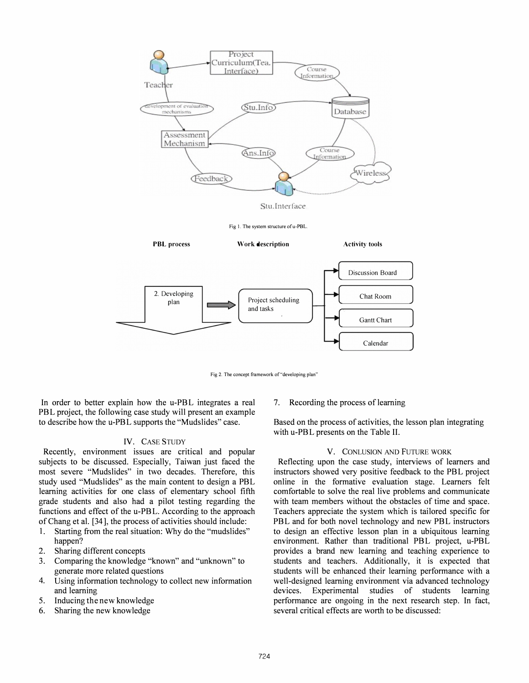

Fig 2. The concept framework of "developing plan"

In order to better explain how the u-PBL integrates a real PBL project, the following case study will present an example to describe how the u-PBL supports the "Mudslides" case.

# IV. CASE STUDY

Recently, environment issues are critical and popular subjects to be discussed. Especially, Taiwan just faced the most severe "Mudslides" in two decades. Therefore, this study used "Mudslides" as the main content to design a PBL learning activities for one class of elementary school fifth grade students and also had a pilot testing regarding the functions and effect of the u-PBL. According to the approach of Chang et al. [34], the process of activities should include:

- 1. Starting from the real situation: Why do the "mudslides" happen?
- 2. Sharing different concepts
- 3. Comparing the knowledge "known" and "unknown" to generate more related questions
- 4. Using information technology to collect new information and learning
- 5. Inducing the new knowledge
- 6. Sharing the new knowledge

7. Recording the process of learning

Based on the process of activities, the lesson plan integrating with u-PBL presents on the Table II.

# V. CONLUSION AND FUTURE WORK

Reflecting upon the case study, interviews of learners and instructors showed very positive feedback to the PBL project online in the formative evaluation stage. Learners felt comfortable to solve the real live problems and communicate with team members without the obstacles of time and space. Teachers appreciate the system which is tailored specific for PBL and for both novel technology and new PBL instructors to design an effective lesson plan in a ubiquitous learning environment. Rather than traditional PBL project, u-PBL provides a brand new learning and teaching experience to students and teachers. Additionally, it is expected that students will be enhanced their learning performance with a well-designed learning environment via advanced technology devices. Experimental studies of students learning performance are ongoing in the next research step. In fact, several critical effects are worth to be discussed: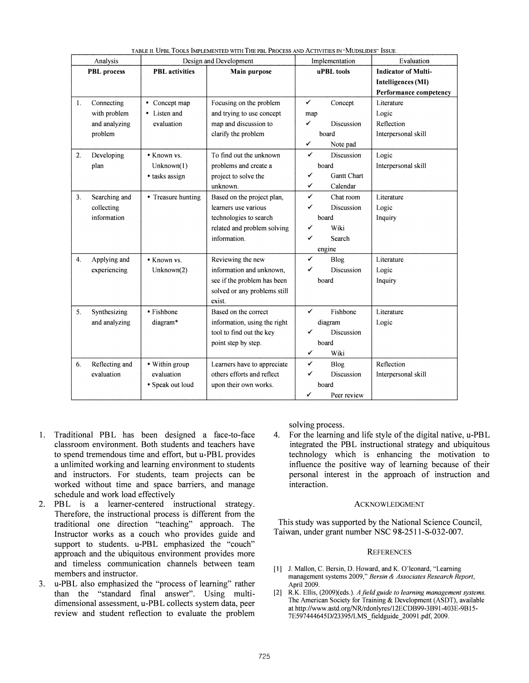| TABLE II. OPBL TOOLS IMPLEMENTED WITH THE PBL FROCESS AND ACTIVITIES IN WIODSLIDES ISSUE<br>Analysis<br>Design and Development |                |                       | Evaluation<br>Implementation |                  |                            |
|--------------------------------------------------------------------------------------------------------------------------------|----------------|-----------------------|------------------------------|------------------|----------------------------|
| <b>PBL</b> process                                                                                                             |                | <b>PBL</b> activities | Main purpose                 | uPBL tools       | <b>Indicator of Multi-</b> |
|                                                                                                                                |                |                       |                              |                  | <b>Intelligences (MI)</b>  |
|                                                                                                                                |                |                       |                              |                  | Performance competency     |
| 1.                                                                                                                             | Connecting     | • Concept map         | Focusing on the problem      | ✓<br>Concept     | Literature                 |
|                                                                                                                                | with problem   | • Listen and          | and trying to use concept    | map              | Logic                      |
|                                                                                                                                | and analyzing  | evaluation            | map and discussion to        | Discussion<br>✓  | Reflection                 |
|                                                                                                                                | problem        |                       | clarify the problem          | board            | Interpersonal skill        |
|                                                                                                                                |                |                       |                              | ✓<br>Note pad    |                            |
| 2.                                                                                                                             | Developing     | • Known vs.           | To find out the unknown      | ✓<br>Discussion  | Logic                      |
|                                                                                                                                | plan           | Unknown(1)            | problems and create a        | board            | Interpersonal skill        |
|                                                                                                                                |                | • tasks assign        | project to solve the         | ✓<br>Gantt Chart |                            |
|                                                                                                                                |                |                       | unknown.                     | ✓<br>Calendar    |                            |
| 3 <sub>1</sub>                                                                                                                 | Searching and  | • Treasure hunting    | Based on the project plan,   | ✓<br>Chat room   | Literature                 |
|                                                                                                                                | collecting     |                       | learners use various         | Discussion<br>✓  | Logic                      |
|                                                                                                                                | information    |                       | technologies to search       | board            | Inquiry                    |
|                                                                                                                                |                |                       | related and problem solving  | Wiki<br>✓        |                            |
|                                                                                                                                |                |                       | information.                 | ✓<br>Search      |                            |
|                                                                                                                                |                |                       |                              | engine           |                            |
| 4.                                                                                                                             | Applying and   | • Known vs.           | Reviewing the new            | ✓<br>Blog        | Literature                 |
|                                                                                                                                | experiencing   | Unknown(2)            | information and unknown,     | ✓<br>Discussion  | Logic                      |
|                                                                                                                                |                |                       | see if the problem has been  | board            | Inquiry                    |
|                                                                                                                                |                |                       | solved or any problems still |                  |                            |
|                                                                                                                                |                |                       | exist.                       |                  |                            |
| 5.                                                                                                                             | Synthesizing   | • Fishbone            | Based on the correct         | ✓<br>Fishbone    | Literature                 |
|                                                                                                                                | and analyzing  | diagram*              | information, using the right | diagram          | Logic                      |
|                                                                                                                                |                |                       | tool to find out the key     | Discussion<br>✓  |                            |
|                                                                                                                                |                |                       | point step by step.          | board            |                            |
|                                                                                                                                |                |                       |                              | ✓<br>Wiki        |                            |
| 6.                                                                                                                             | Reflecting and | • Within group        | Learners have to appreciate  | ✓<br><b>Blog</b> | Reflection                 |
|                                                                                                                                | evaluation     | evaluation            | others efforts and reflect   | ✓<br>Discussion  | Interpersonal skill        |
|                                                                                                                                |                | • Speak out loud      | upon their own works.        | board            |                            |
|                                                                                                                                |                |                       |                              | ✓<br>Peer review |                            |

TABLE II UPBL TOOLS IMPLEMENTED WITH THE PBL PROCESS AND ACTIVITIES IN "MUDSLIDES" ISSUE

- 1. Traditional PBL has been designed a face-to-face classroom environment. Both students and teachers have to spend tremendous time and effort, but u-PBL provides a unlimited working and learning environment to students and instructors. For students, team projects can be worked without time and space barriers, and manage schedule and work load effectively
- 2. PBL is a learner-centered instructional strategy. Therefore, the instructional process is different from the traditional one direction "teaching" approach. The Instructor works as a couch who provides guide and support to students. u-PBL emphasized the "couch" approach and the ubiquitous environment provides more and timeless communication channels between team members and instructor.
- 3. u-PBL also emphasized the "process of learning" rather than the "standard final answer". Using multidimensional assessment, u-PBL collects system data, peer review and student reflection to evaluate the problem

solving process.

4. For the learning and life style of the digital native, u-PBL integrated the PBL instructional strategy and ubiquitous technology which is enhancing the motivation to influence the positive way of learning because of their personal interest in the approach of instruction and interaction.

## ACKNOWLEDGMENT

This study was supported by the National Science Council, Taiwan, under grant number NSC 98-2511-S-032-007.

#### **REFERENCES**

- [1] J. Mallon, C. Bersin, D. Howard, and K. O'leonard, "Learning management systems 2009," Bersin & Associates Research Report, April 2009.
- [2] R.K. Ellis, (2009)(eds.). A field guide to learning management systems. The American Society for Training & Development (ASDT), available at http://www.astd.org/NR/rdonlyres/12ECDB99-3B91-403E-9B15-7E597444645D/23395/LMS\_fieldguide\_20091.pdf, 2009.